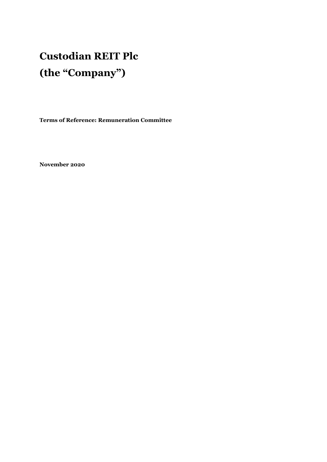# **Custodian REIT Plc (the "Company")**

**Terms of Reference: Remuneration Committee** 

**November 2020**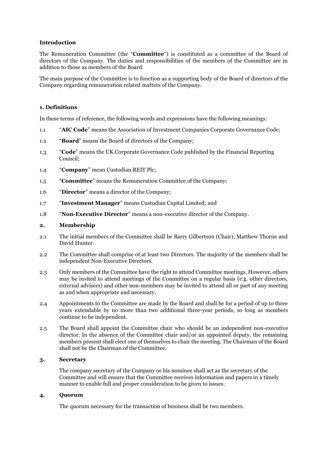#### **Introduction**

The Remuneration Committee (the "**Committee**") is constituted as a committee of the Board of directors of the Company. The duties and responsibilities of the members of the Committee are in addition to those as members of the Board.

The main purpose of the Committee is to function as a supporting body of the Board of directors of the Company regarding remuneration related matters of the Company.

#### **1. Definitions**

In these terms of reference, the following words and expressions have the following meanings:

- 1.1 "**AIC Code**" means the Association of Investment Companies Corporate Governance Code;
- 1.2 "**Board**" means the Board of directors of the Company;
- 1.3 "**Code**" means the UK Corporate Governance Code published by the Financial Reporting Council;
- 1.4 "**Company**" mean Custodian REIT Plc;
- 1.5 "**Committee**" means the Remuneration Committee of the Company;
- 1.6 "**Director**" means a director of the Company;
- 1.7 "**Investment Manager**" means Custodian Capital Limited; and
- 1.8 "**Non-Executive Director**" means a non-executive director of the Company.

#### **2. Membership**

- 2.1 The initial members of the Committee shall be Barry Gilbertson (Chair), Matthew Thorne and David Hunter.
- 2.2 The Committee shall comprise of at least two Directors. The majority of the members shall be independent Non-Executive Directors.
- 2.3 Only members of the Committee have the right to attend Committee meetings. However, others may be invited to attend meetings of the Committee on a regular basis (e.g. other directors, external advisers) and other non-members may be invited to attend all or part of any meeting as and when appropriate and necessary.
- 2.4 Appointments to the Committee are made by the Board and shall be for a period of up to three years extendable by no more than two additional three-year periods, so long as members continue to be independent.
- 2.5 The Board shall appoint the Committee chair who should be an independent non-executive director. In the absence of the Committee chair and/or an appointed deputy, the remaining members present shall elect one of themselves to chair the meeting. The Chairman of the Board shall not be the Chairman of the Committee.

### **3. Secretary**

The company secretary of the Company or his nominee shall act as the secretary of the Committee and will ensure that the Committee receives information and papers in a timely manner to enable full and proper consideration to be given to issues.

#### **4. Quorum**

The quorum necessary for the transaction of business shall be two members.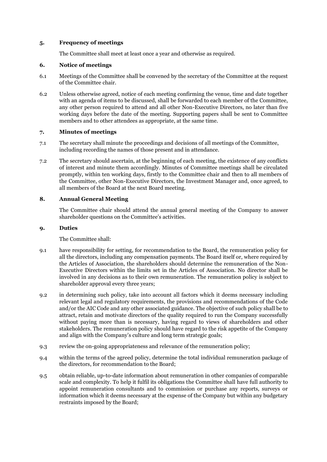#### **5. Frequency of meetings**

The Committee shall meet at least once a year and otherwise as required.

#### **6. Notice of meetings**

- 6.1 Meetings of the Committee shall be convened by the secretary of the Committee at the request of the Committee chair.
- 6.2 Unless otherwise agreed, notice of each meeting confirming the venue, time and date together with an agenda of items to be discussed, shall be forwarded to each member of the Committee, any other person required to attend and all other Non-Executive Directors, no later than five working days before the date of the meeting. Supporting papers shall be sent to Committee members and to other attendees as appropriate, at the same time.

#### **7. Minutes of meetings**

- 7.1 The secretary shall minute the proceedings and decisions of all meetings of the Committee, including recording the names of those present and in attendance.
- 7.2 The secretary should ascertain, at the beginning of each meeting, the existence of any conflicts of interest and minute them accordingly. Minutes of Committee meetings shall be circulated promptly, within ten working days, firstly to the Committee chair and then to all members of the Committee, other Non-Executive Directors, the Investment Manager and, once agreed, to all members of the Board at the next Board meeting.

#### **8. Annual General Meeting**

The Committee chair should attend the annual general meeting of the Company to answer shareholder questions on the Committee's activities.

#### **9. Duties**

The Committee shall:

- 9.1 have responsibility for setting, for recommendation to the Board, the remuneration policy for all the directors, including any compensation payments. The Board itself or, where required by the Articles of Association, the shareholders should determine the remuneration of the Non-Executive Directors within the limits set in the Articles of Association. No director shall be involved in any decisions as to their own remuneration. The remuneration policy is subject to shareholder approval every three years;
- 9.2 in determining such policy, take into account all factors which it deems necessary including relevant legal and regulatory requirements, the provisions and recommendations of the Code and/or the AIC Code and any other associated guidance. The objective of such policy shall be to attract, retain and motivate directors of the quality required to run the Company successfully without paying more than is necessary, having regard to views of shareholders and other stakeholders. The remuneration policy should have regard to the risk appetite of the Company and align with the Company's culture and long term strategic goals;
- 9.3 review the on-going appropriateness and relevance of the remuneration policy;
- 9.4 within the terms of the agreed policy, determine the total individual remuneration package of the directors, for recommendation to the Board;
- 9.5 obtain reliable, up-to-date information about remuneration in other companies of comparable scale and complexity. To help it fulfil its obligations the Committee shall have full authority to appoint remuneration consultants and to commission or purchase any reports, surveys or information which it deems necessary at the expense of the Company but within any budgetary restraints imposed by the Board;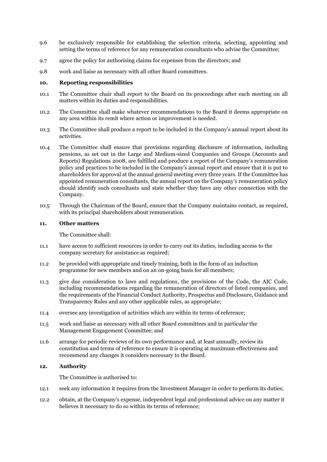- 9.6 be exclusively responsible for establishing the selection criteria, selecting, appointing and setting the terms of reference for any remuneration consultants who advise the Committee;
- 9.7 agree the policy for authorising claims for expenses from the directors; and
- 9.8 work and liaise as necessary with all other Board committees.

#### **10. Reporting responsibilities**

- 10.1 The Committee chair shall report to the Board on its proceedings after each meeting on all matters within its duties and responsibilities.
- 10.2 The Committee shall make whatever recommendations to the Board it deems appropriate on any area within its remit where action or improvement is needed.
- 10.3 The Committee shall produce a report to be included in the Company's annual report about its activities.
- 10.4 The Committee shall ensure that provisions regarding disclosure of information, including pensions, as set out in the Large and Medium-sized Companies and Groups (Accounts and Reports) Regulations 2008, are fulfilled and produce a report of the Company's remuneration policy and practices to be included in the Company's annual report and ensure that it is put to shareholders for approval at the annual general meeting every three years. If the Committee has appointed remuneration consultants, the annual report on the Company's remuneration policy should identify such consultants and state whether they have any other connection with the Company.
- 10.5 Through the Chairman of the Board, ensure that the Company maintains contact, as required, with its principal shareholders about remuneration.

#### **11. Other matters**

The Committee shall:

- 11.1 have access to sufficient resources in order to carry out its duties, including access to the company secretary for assistance as required;
- 11.2 be provided with appropriate and timely training, both in the form of an induction programme for new members and on an on-going basis for all members;
- 11.3 give due consideration to laws and regulations, the provisions of the Code, the AIC Code, including recommendations regarding the remuneration of directors of listed companies, and the requirements of the Financial Conduct Authority, Prospectus and Disclosure, Guidance and Transparency Rules and any other applicable rules, as appropriate;
- 11.4 oversee any investigation of activities which are within its terms of reference;
- 11.5 work and liaise as necessary with all other Board committees and in particular the Management Engagement Committee; and
- 11.6 arrange for periodic reviews of its own performance and, at least annually, review its constitution and terms of reference to ensure it is operating at maximum effectiveness and recommend any changes it considers necessary to the Board.

#### **12. Authority**

The Committee is authorised to:

- 12.1 seek any information it requires from the Investment Manager in order to perform its duties;
- 12.2 obtain, at the Company's expense, independent legal and professional advice on any matter it believes it necessary to do so within its terms of reference;